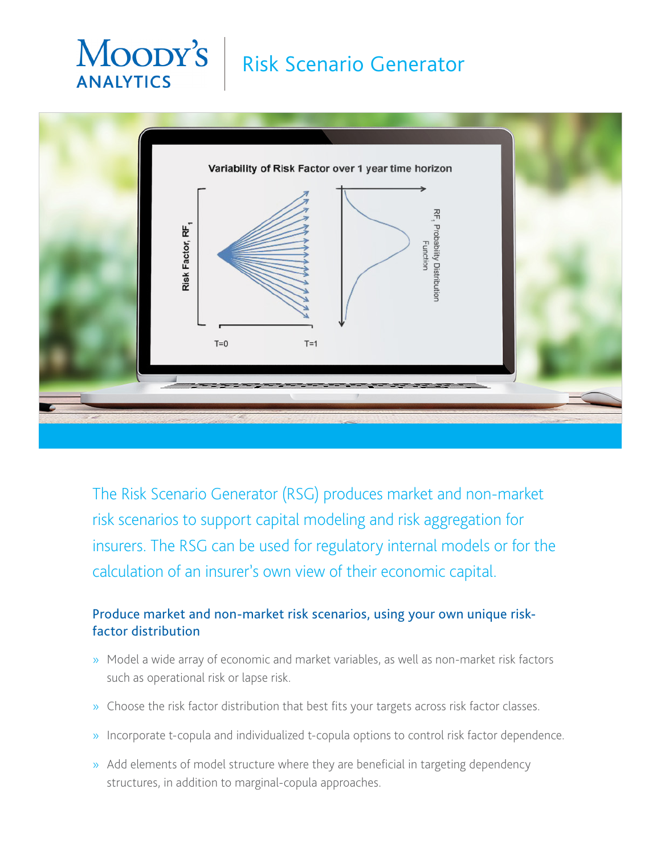# Moody's **ANALYTICS**

# Risk Scenario Generator



The Risk Scenario Generator (RSG) produces market and non-market risk scenarios to support capital modeling and risk aggregation for insurers. The RSG can be used for regulatory internal models or for the calculation of an insurer's own view of their economic capital.

### Produce market and non-market risk scenarios, using your own unique riskfactor distribution

- » Model a wide array of economic and market variables, as well as non-market risk factors such as operational risk or lapse risk.
- » Choose the risk factor distribution that best fits your targets across risk factor classes.
- » Incorporate t-copula and individualized t-copula options to control risk factor dependence.
- » Add elements of model structure where they are beneficial in targeting dependency structures, in addition to marginal-copula approaches.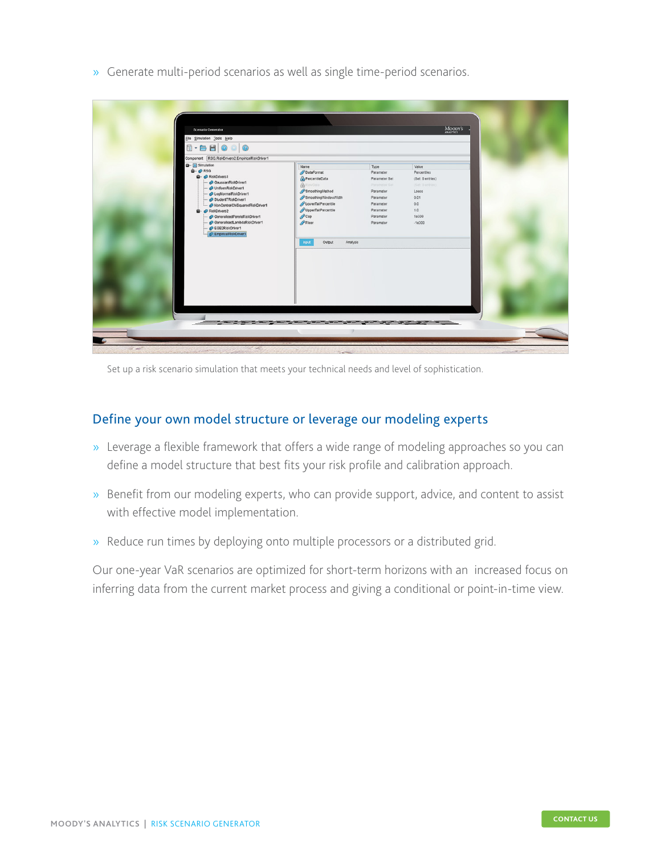» Generate multi-period scenarios as well as single time-period scenarios.

| Scenario Generator<br>Eile Simulation Tools Help<br>Component RSG.RiskDrivers2.EmpiricalRiskDriver1<br><b>Q</b> -- [A] Simulation<br>Type<br>Value<br>Name<br>$\mathbf{Q}$ - $\mathbf{Q}$ RSG<br>DataFormat<br>Parameter<br>Percentiles<br><b>B</b> - <b>C</b> RiskDrivers1<br>PercentileData<br>Parameter Set<br>(Set 0 entries)<br>GaussianRiskDriver1<br>RawData<br>Parameter Set<br>(Set 0 entries)<br>- @ UniformRiskDriver1<br>SmoothingMethod<br>Parameter<br>Loess<br>- C LogNormalRiskDriver1<br>SmoothingWindowWidth<br>Parameter<br>0.01<br>StudentTRiskDriver1<br>LowerTailPercentle<br>Parameter<br>0.0<br>NonCentralChiSquaredRiskDriver1<br>UpperTailPercentile<br>Parameter<br>1.0<br>- @ RiskDrivers2<br>$\curvearrowright$ Cap<br>Parameter<br>1e300<br>CeneralisedParetoRiskDriver1<br>$P$ Floor<br>CeneralisedLambdaRiskDriver1<br>Parameter<br>$-10300$<br>EGB2RiskDriver1<br>C EmpiricalRiskDriver1<br>Input<br>Output<br>Analysis |  |  |         |  |
|----------------------------------------------------------------------------------------------------------------------------------------------------------------------------------------------------------------------------------------------------------------------------------------------------------------------------------------------------------------------------------------------------------------------------------------------------------------------------------------------------------------------------------------------------------------------------------------------------------------------------------------------------------------------------------------------------------------------------------------------------------------------------------------------------------------------------------------------------------------------------------------------------------------------------------------------------------|--|--|---------|--|
|                                                                                                                                                                                                                                                                                                                                                                                                                                                                                                                                                                                                                                                                                                                                                                                                                                                                                                                                                          |  |  | MOODY'S |  |
|                                                                                                                                                                                                                                                                                                                                                                                                                                                                                                                                                                                                                                                                                                                                                                                                                                                                                                                                                          |  |  |         |  |
|                                                                                                                                                                                                                                                                                                                                                                                                                                                                                                                                                                                                                                                                                                                                                                                                                                                                                                                                                          |  |  |         |  |
|                                                                                                                                                                                                                                                                                                                                                                                                                                                                                                                                                                                                                                                                                                                                                                                                                                                                                                                                                          |  |  |         |  |
|                                                                                                                                                                                                                                                                                                                                                                                                                                                                                                                                                                                                                                                                                                                                                                                                                                                                                                                                                          |  |  |         |  |
|                                                                                                                                                                                                                                                                                                                                                                                                                                                                                                                                                                                                                                                                                                                                                                                                                                                                                                                                                          |  |  |         |  |
|                                                                                                                                                                                                                                                                                                                                                                                                                                                                                                                                                                                                                                                                                                                                                                                                                                                                                                                                                          |  |  |         |  |
|                                                                                                                                                                                                                                                                                                                                                                                                                                                                                                                                                                                                                                                                                                                                                                                                                                                                                                                                                          |  |  |         |  |

Set up a risk scenario simulation that meets your technical needs and level of sophistication.

#### Define your own model structure or leverage our modeling experts

- » Leverage a flexible framework that offers a wide range of modeling approaches so you can define a model structure that best fits your risk profile and calibration approach.
- » Benefit from our modeling experts, who can provide support, advice, and content to assist with effective model implementation.
- » Reduce run times by deploying onto multiple processors or a distributed grid.

Our one-year VaR scenarios are optimized for short-term horizons with an increased focus on inferring data from the current market process and giving a conditional or point-in-time view.